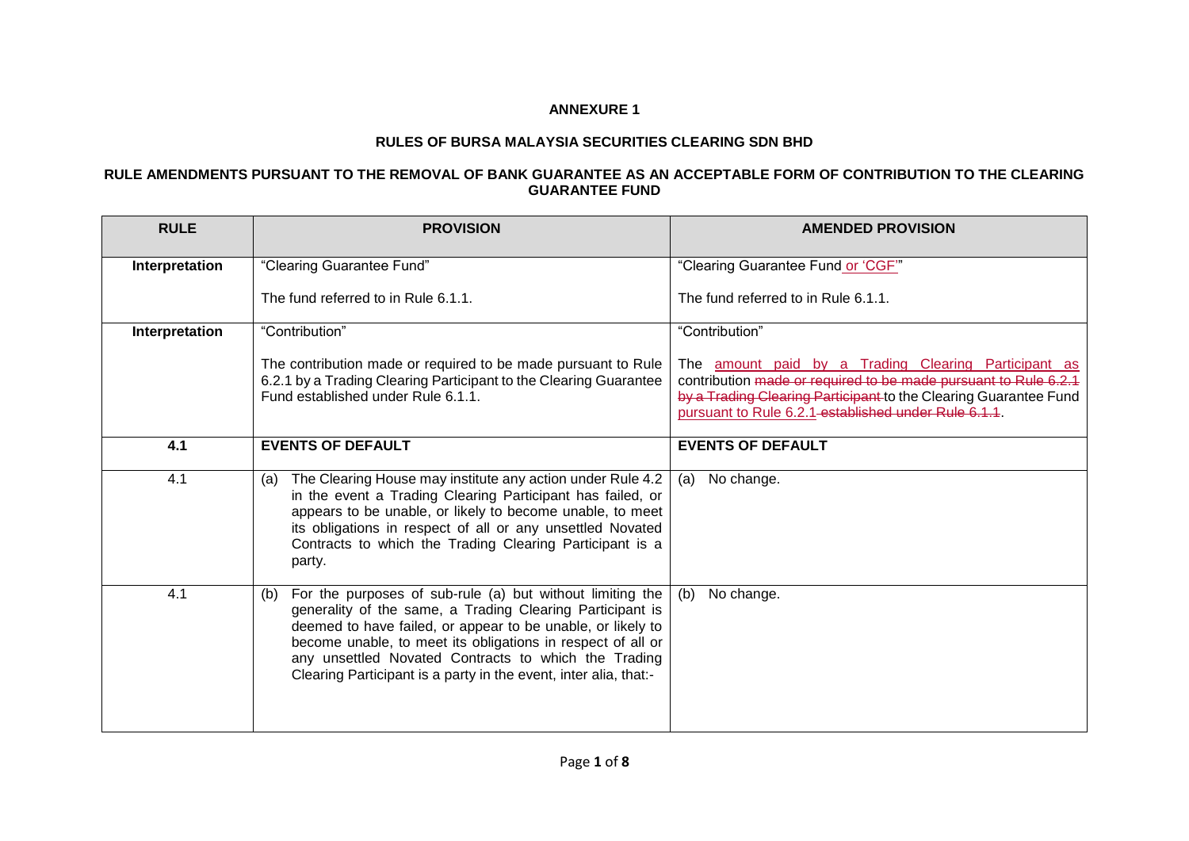## **ANNEXURE 1**

## **RULES OF BURSA MALAYSIA SECURITIES CLEARING SDN BHD**

## **RULE AMENDMENTS PURSUANT TO THE REMOVAL OF BANK GUARANTEE AS AN ACCEPTABLE FORM OF CONTRIBUTION TO THE CLEARING GUARANTEE FUND**

| <b>RULE</b>    | <b>PROVISION</b>                                                                                                                                                                                                                                                                                                                                                                        | <b>AMENDED PROVISION</b>                                                                                                                                                                                                                            |
|----------------|-----------------------------------------------------------------------------------------------------------------------------------------------------------------------------------------------------------------------------------------------------------------------------------------------------------------------------------------------------------------------------------------|-----------------------------------------------------------------------------------------------------------------------------------------------------------------------------------------------------------------------------------------------------|
| Interpretation | "Clearing Guarantee Fund"                                                                                                                                                                                                                                                                                                                                                               | "Clearing Guarantee Fund or 'CGF"                                                                                                                                                                                                                   |
|                | The fund referred to in Rule 6.1.1.                                                                                                                                                                                                                                                                                                                                                     | The fund referred to in Rule 6.1.1.                                                                                                                                                                                                                 |
| Interpretation | "Contribution"                                                                                                                                                                                                                                                                                                                                                                          | "Contribution"                                                                                                                                                                                                                                      |
|                | The contribution made or required to be made pursuant to Rule<br>6.2.1 by a Trading Clearing Participant to the Clearing Guarantee<br>Fund established under Rule 6.1.1.                                                                                                                                                                                                                | The amount paid by a Trading Clearing Participant as<br>contribution made or required to be made pursuant to Rule 6.2.1<br>by a Trading Clearing Participant to the Clearing Guarantee Fund<br>pursuant to Rule 6.2.1-established under Rule 6.1.1. |
| 4.1            | <b>EVENTS OF DEFAULT</b>                                                                                                                                                                                                                                                                                                                                                                | <b>EVENTS OF DEFAULT</b>                                                                                                                                                                                                                            |
| 4.1            | The Clearing House may institute any action under Rule 4.2<br>(a)<br>in the event a Trading Clearing Participant has failed, or<br>appears to be unable, or likely to become unable, to meet<br>its obligations in respect of all or any unsettled Novated<br>Contracts to which the Trading Clearing Participant is a<br>party.                                                        | No change.<br>(a)                                                                                                                                                                                                                                   |
| 4.1            | For the purposes of sub-rule (a) but without limiting the<br>(b)<br>generality of the same, a Trading Clearing Participant is<br>deemed to have failed, or appear to be unable, or likely to<br>become unable, to meet its obligations in respect of all or<br>any unsettled Novated Contracts to which the Trading<br>Clearing Participant is a party in the event, inter alia, that:- | No change.<br>(b)                                                                                                                                                                                                                                   |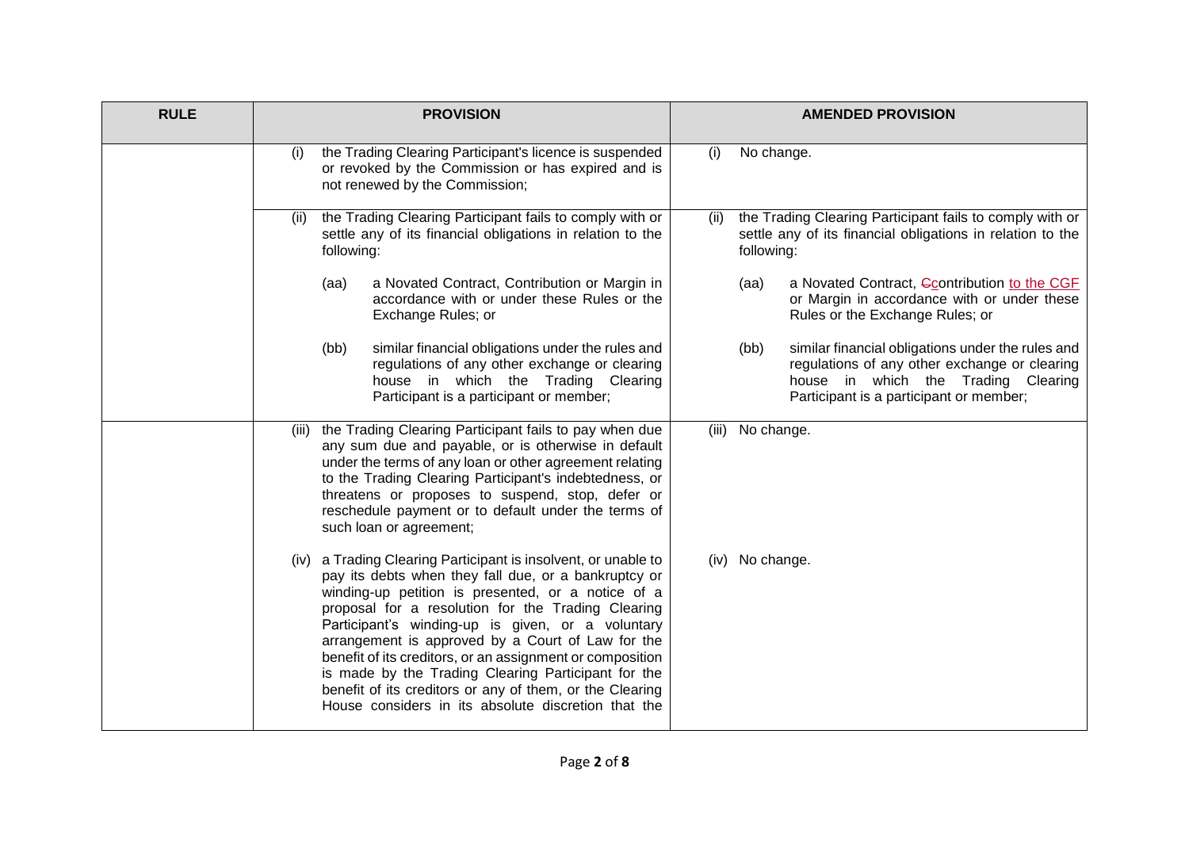| <b>RULE</b> | <b>PROVISION</b>                                                                                                                                                                                                                                                                                                                                                                                                                                                                                                                                                                       | <b>AMENDED PROVISION</b>                                                                                                                                                                     |
|-------------|----------------------------------------------------------------------------------------------------------------------------------------------------------------------------------------------------------------------------------------------------------------------------------------------------------------------------------------------------------------------------------------------------------------------------------------------------------------------------------------------------------------------------------------------------------------------------------------|----------------------------------------------------------------------------------------------------------------------------------------------------------------------------------------------|
|             | the Trading Clearing Participant's licence is suspended<br>(i)<br>or revoked by the Commission or has expired and is<br>not renewed by the Commission;                                                                                                                                                                                                                                                                                                                                                                                                                                 | No change.<br>(i)                                                                                                                                                                            |
|             | the Trading Clearing Participant fails to comply with or<br>(ii)<br>settle any of its financial obligations in relation to the<br>following:                                                                                                                                                                                                                                                                                                                                                                                                                                           | the Trading Clearing Participant fails to comply with or<br>(ii)<br>settle any of its financial obligations in relation to the<br>following:                                                 |
|             | a Novated Contract, Contribution or Margin in<br>(aa)<br>accordance with or under these Rules or the<br>Exchange Rules; or                                                                                                                                                                                                                                                                                                                                                                                                                                                             | a Novated Contract, Ccontribution to the CGF<br>(aa)<br>or Margin in accordance with or under these<br>Rules or the Exchange Rules; or                                                       |
|             | (bb)<br>similar financial obligations under the rules and<br>regulations of any other exchange or clearing<br>house in which the Trading Clearing<br>Participant is a participant or member;                                                                                                                                                                                                                                                                                                                                                                                           | (bb)<br>similar financial obligations under the rules and<br>regulations of any other exchange or clearing<br>house in which the Trading Clearing<br>Participant is a participant or member; |
|             | the Trading Clearing Participant fails to pay when due<br>(iii)<br>any sum due and payable, or is otherwise in default<br>under the terms of any loan or other agreement relating<br>to the Trading Clearing Participant's indebtedness, or<br>threatens or proposes to suspend, stop, defer or<br>reschedule payment or to default under the terms of<br>such loan or agreement;                                                                                                                                                                                                      | (iii)<br>No change.                                                                                                                                                                          |
|             | a Trading Clearing Participant is insolvent, or unable to<br>(iv)<br>pay its debts when they fall due, or a bankruptcy or<br>winding-up petition is presented, or a notice of a<br>proposal for a resolution for the Trading Clearing<br>Participant's winding-up is given, or a voluntary<br>arrangement is approved by a Court of Law for the<br>benefit of its creditors, or an assignment or composition<br>is made by the Trading Clearing Participant for the<br>benefit of its creditors or any of them, or the Clearing<br>House considers in its absolute discretion that the | No change.<br>(iv)                                                                                                                                                                           |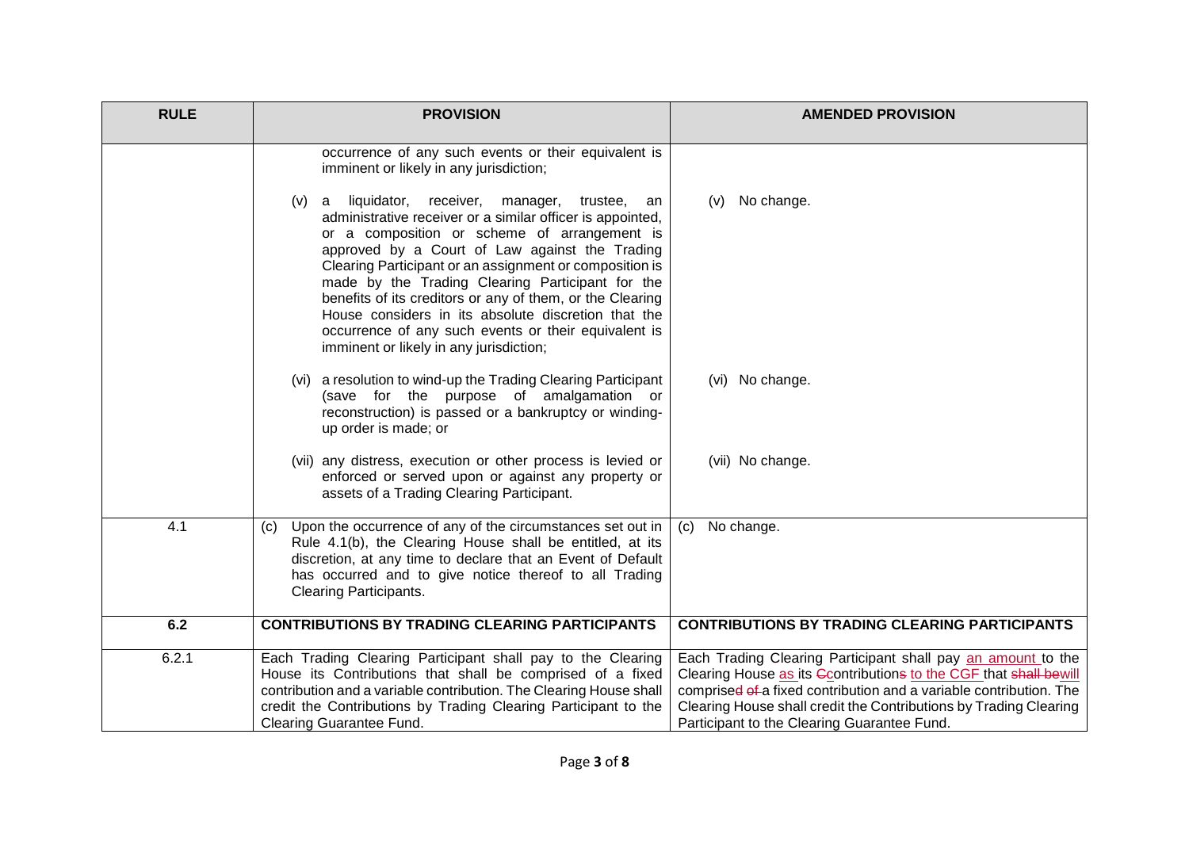| <b>RULE</b> | <b>PROVISION</b>                                                                                                                                                                                                                                                                                                                                                                                                                                                                                                                                                | <b>AMENDED PROVISION</b>                                                                                                                                                                                                                                                                                                    |
|-------------|-----------------------------------------------------------------------------------------------------------------------------------------------------------------------------------------------------------------------------------------------------------------------------------------------------------------------------------------------------------------------------------------------------------------------------------------------------------------------------------------------------------------------------------------------------------------|-----------------------------------------------------------------------------------------------------------------------------------------------------------------------------------------------------------------------------------------------------------------------------------------------------------------------------|
|             | occurrence of any such events or their equivalent is<br>imminent or likely in any jurisdiction;                                                                                                                                                                                                                                                                                                                                                                                                                                                                 |                                                                                                                                                                                                                                                                                                                             |
|             | (v) a liquidator,<br>receiver, manager,<br>trustee,<br>an<br>administrative receiver or a similar officer is appointed,<br>or a composition or scheme of arrangement is<br>approved by a Court of Law against the Trading<br>Clearing Participant or an assignment or composition is<br>made by the Trading Clearing Participant for the<br>benefits of its creditors or any of them, or the Clearing<br>House considers in its absolute discretion that the<br>occurrence of any such events or their equivalent is<br>imminent or likely in any jurisdiction; | No change.<br>(V)                                                                                                                                                                                                                                                                                                           |
|             | (vi) a resolution to wind-up the Trading Clearing Participant<br>(save for the purpose of amalgamation or<br>reconstruction) is passed or a bankruptcy or winding-<br>up order is made; or                                                                                                                                                                                                                                                                                                                                                                      | (vi) No change.                                                                                                                                                                                                                                                                                                             |
|             | (vii) any distress, execution or other process is levied or<br>enforced or served upon or against any property or<br>assets of a Trading Clearing Participant.                                                                                                                                                                                                                                                                                                                                                                                                  | (vii) No change.                                                                                                                                                                                                                                                                                                            |
| 4.1         | Upon the occurrence of any of the circumstances set out in<br>(c)<br>Rule 4.1(b), the Clearing House shall be entitled, at its<br>discretion, at any time to declare that an Event of Default<br>has occurred and to give notice thereof to all Trading<br><b>Clearing Participants.</b>                                                                                                                                                                                                                                                                        | No change.<br>(c)                                                                                                                                                                                                                                                                                                           |
| 6.2         | <b>CONTRIBUTIONS BY TRADING CLEARING PARTICIPANTS</b>                                                                                                                                                                                                                                                                                                                                                                                                                                                                                                           | <b>CONTRIBUTIONS BY TRADING CLEARING PARTICIPANTS</b>                                                                                                                                                                                                                                                                       |
| 6.2.1       | Each Trading Clearing Participant shall pay to the Clearing<br>House its Contributions that shall be comprised of a fixed<br>contribution and a variable contribution. The Clearing House shall<br>credit the Contributions by Trading Clearing Participant to the<br><b>Clearing Guarantee Fund.</b>                                                                                                                                                                                                                                                           | Each Trading Clearing Participant shall pay an amount to the<br>Clearing House as its Gcontributions to the CGF that shall bewill<br>comprised of a fixed contribution and a variable contribution. The<br>Clearing House shall credit the Contributions by Trading Clearing<br>Participant to the Clearing Guarantee Fund. |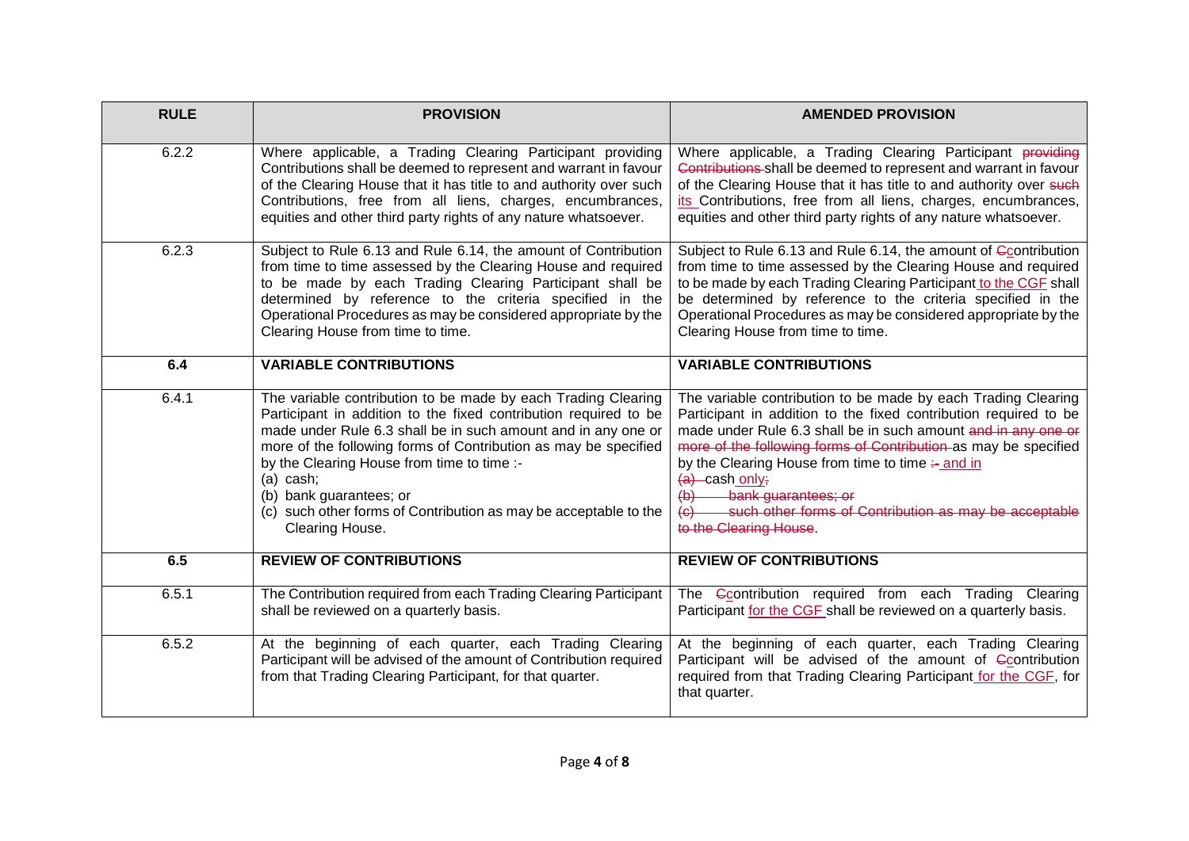| <b>RULE</b> | <b>PROVISION</b>                                                                                                                                                                                                                                                                                                                                                                                                                                     | <b>AMENDED PROVISION</b>                                                                                                                                                                                                                                                                                                                                                                                                                                                                                      |
|-------------|------------------------------------------------------------------------------------------------------------------------------------------------------------------------------------------------------------------------------------------------------------------------------------------------------------------------------------------------------------------------------------------------------------------------------------------------------|---------------------------------------------------------------------------------------------------------------------------------------------------------------------------------------------------------------------------------------------------------------------------------------------------------------------------------------------------------------------------------------------------------------------------------------------------------------------------------------------------------------|
| 6.2.2       | Where applicable, a Trading Clearing Participant providing<br>Contributions shall be deemed to represent and warrant in favour<br>of the Clearing House that it has title to and authority over such<br>Contributions, free from all liens, charges, encumbrances,<br>equities and other third party rights of any nature whatsoever.                                                                                                                | Where applicable, a Trading Clearing Participant providing<br>Contributions shall be deemed to represent and warrant in favour<br>of the Clearing House that it has title to and authority over such<br>its Contributions, free from all liens, charges, encumbrances,<br>equities and other third party rights of any nature whatsoever.                                                                                                                                                                     |
| 6.2.3       | Subject to Rule 6.13 and Rule 6.14, the amount of Contribution<br>from time to time assessed by the Clearing House and required<br>to be made by each Trading Clearing Participant shall be<br>determined by reference to the criteria specified in the<br>Operational Procedures as may be considered appropriate by the<br>Clearing House from time to time.                                                                                       | Subject to Rule 6.13 and Rule 6.14, the amount of Ccontribution<br>from time to time assessed by the Clearing House and required<br>to be made by each Trading Clearing Participant to the CGF shall<br>be determined by reference to the criteria specified in the<br>Operational Procedures as may be considered appropriate by the<br>Clearing House from time to time.                                                                                                                                    |
| 6.4         | <b>VARIABLE CONTRIBUTIONS</b>                                                                                                                                                                                                                                                                                                                                                                                                                        | <b>VARIABLE CONTRIBUTIONS</b>                                                                                                                                                                                                                                                                                                                                                                                                                                                                                 |
| 6.4.1       | The variable contribution to be made by each Trading Clearing<br>Participant in addition to the fixed contribution required to be<br>made under Rule 6.3 shall be in such amount and in any one or<br>more of the following forms of Contribution as may be specified<br>by the Clearing House from time to time :-<br>$(a)$ cash;<br>(b) bank guarantees; or<br>(c) such other forms of Contribution as may be acceptable to the<br>Clearing House. | The variable contribution to be made by each Trading Clearing<br>Participant in addition to the fixed contribution required to be<br>made under Rule 6.3 shall be in such amount and in any one or<br>more of the following forms of Contribution as may be specified<br>by the Clearing House from time to time $\div$ and in<br>$(a)$ -cash only;<br>bank guarantees; or<br>$\leftrightarrow$<br>such other forms of Contribution as may be acceptable<br>$\left( \theta \right)$<br>to the Clearing House. |
| 6.5         | <b>REVIEW OF CONTRIBUTIONS</b>                                                                                                                                                                                                                                                                                                                                                                                                                       | <b>REVIEW OF CONTRIBUTIONS</b>                                                                                                                                                                                                                                                                                                                                                                                                                                                                                |
| 6.5.1       | The Contribution required from each Trading Clearing Participant<br>shall be reviewed on a quarterly basis.                                                                                                                                                                                                                                                                                                                                          | The Contribution required from each Trading Clearing<br>Participant for the CGF shall be reviewed on a quarterly basis.                                                                                                                                                                                                                                                                                                                                                                                       |
| 6.5.2       | At the beginning of each quarter, each Trading Clearing<br>Participant will be advised of the amount of Contribution required<br>from that Trading Clearing Participant, for that quarter.                                                                                                                                                                                                                                                           | At the beginning of each quarter, each Trading Clearing<br>Participant will be advised of the amount of Ccontribution<br>required from that Trading Clearing Participant for the CGF, for<br>that quarter.                                                                                                                                                                                                                                                                                                    |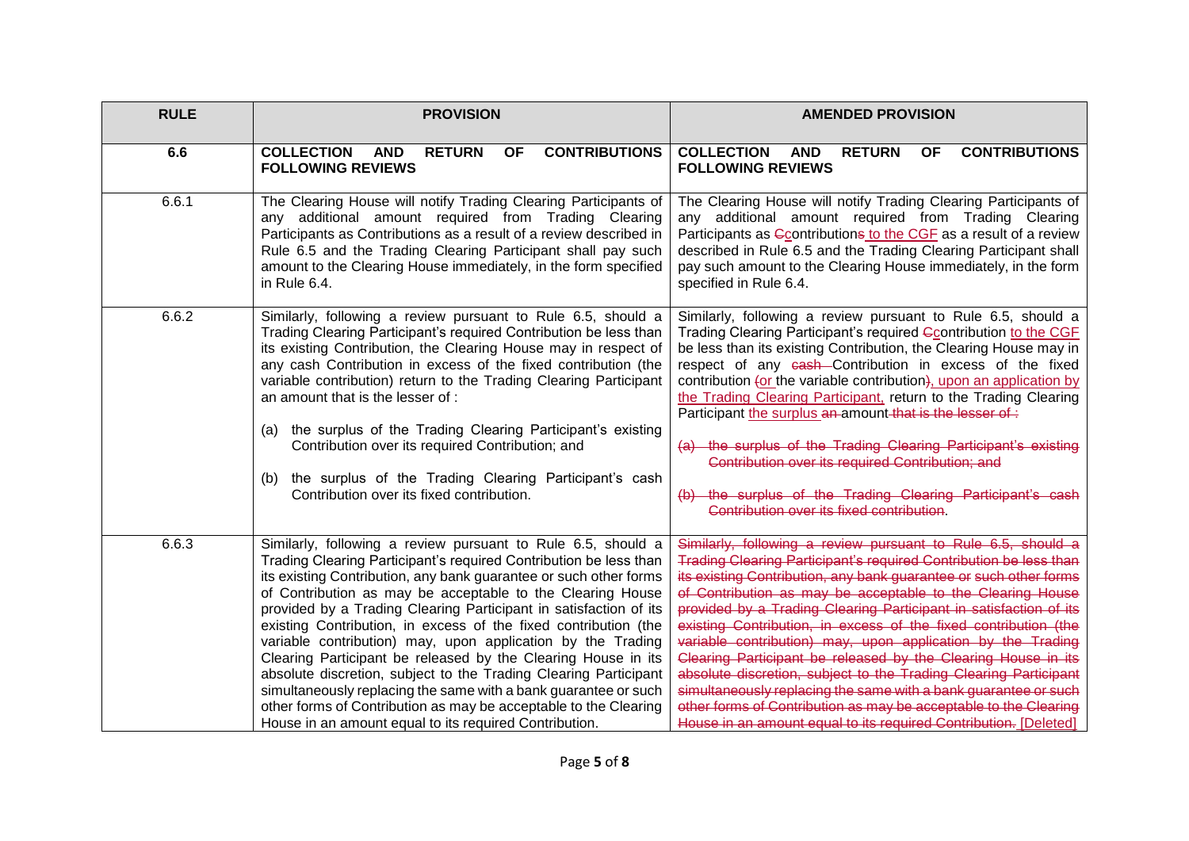| <b>RULE</b> | <b>PROVISION</b>                                                                                                                                                                                                                                                                                                                                                                                                                                                                                                                                                                                                                                                                                                                                                                                                  | <b>AMENDED PROVISION</b>                                                                                                                                                                                                                                                                                                                                                                                                                                                                                                                                                                                                                                                                                                                                                                                                    |
|-------------|-------------------------------------------------------------------------------------------------------------------------------------------------------------------------------------------------------------------------------------------------------------------------------------------------------------------------------------------------------------------------------------------------------------------------------------------------------------------------------------------------------------------------------------------------------------------------------------------------------------------------------------------------------------------------------------------------------------------------------------------------------------------------------------------------------------------|-----------------------------------------------------------------------------------------------------------------------------------------------------------------------------------------------------------------------------------------------------------------------------------------------------------------------------------------------------------------------------------------------------------------------------------------------------------------------------------------------------------------------------------------------------------------------------------------------------------------------------------------------------------------------------------------------------------------------------------------------------------------------------------------------------------------------------|
| 6.6         | <b>COLLECTION</b><br><b>RETURN</b><br><b>CONTRIBUTIONS</b><br><b>AND</b><br><b>OF</b><br><b>FOLLOWING REVIEWS</b>                                                                                                                                                                                                                                                                                                                                                                                                                                                                                                                                                                                                                                                                                                 | <b>COLLECTION</b><br><b>RETURN</b><br><b>CONTRIBUTIONS</b><br><b>AND</b><br><b>OF</b><br><b>FOLLOWING REVIEWS</b>                                                                                                                                                                                                                                                                                                                                                                                                                                                                                                                                                                                                                                                                                                           |
| 6.6.1       | The Clearing House will notify Trading Clearing Participants of<br>any additional amount required from Trading Clearing<br>Participants as Contributions as a result of a review described in<br>Rule 6.5 and the Trading Clearing Participant shall pay such<br>amount to the Clearing House immediately, in the form specified<br>in Rule 6.4.                                                                                                                                                                                                                                                                                                                                                                                                                                                                  | The Clearing House will notify Trading Clearing Participants of<br>any additional amount required from Trading Clearing<br>Participants as Gcontributions to the CGF as a result of a review<br>described in Rule 6.5 and the Trading Clearing Participant shall<br>pay such amount to the Clearing House immediately, in the form<br>specified in Rule 6.4.                                                                                                                                                                                                                                                                                                                                                                                                                                                                |
| 6.6.2       | Similarly, following a review pursuant to Rule 6.5, should a<br>Trading Clearing Participant's required Contribution be less than<br>its existing Contribution, the Clearing House may in respect of<br>any cash Contribution in excess of the fixed contribution (the<br>variable contribution) return to the Trading Clearing Participant<br>an amount that is the lesser of :<br>(a) the surplus of the Trading Clearing Participant's existing<br>Contribution over its required Contribution; and<br>the surplus of the Trading Clearing Participant's cash<br>(b)<br>Contribution over its fixed contribution.                                                                                                                                                                                              | Similarly, following a review pursuant to Rule 6.5, should a<br>Trading Clearing Participant's required Ccontribution to the CGF<br>be less than its existing Contribution, the Clearing House may in<br>respect of any cash-Contribution in excess of the fixed<br>contribution (or the variable contribution), upon an application by<br>the Trading Clearing Participant, return to the Trading Clearing<br>Participant the surplus an amount that is the lesser of :<br>(a) the surplus of the Trading Clearing Participant's existing<br>Contribution over its required Contribution; and<br>the surplus of the Trading Clearing Participant's cash<br>Contribution over its fixed contribution.                                                                                                                       |
| 6.6.3       | Similarly, following a review pursuant to Rule 6.5, should a<br>Trading Clearing Participant's required Contribution be less than<br>its existing Contribution, any bank guarantee or such other forms<br>of Contribution as may be acceptable to the Clearing House<br>provided by a Trading Clearing Participant in satisfaction of its<br>existing Contribution, in excess of the fixed contribution (the<br>variable contribution) may, upon application by the Trading<br>Clearing Participant be released by the Clearing House in its<br>absolute discretion, subject to the Trading Clearing Participant<br>simultaneously replacing the same with a bank guarantee or such<br>other forms of Contribution as may be acceptable to the Clearing<br>House in an amount equal to its required Contribution. | Similarly, following a review pursuant to Rule 6.5, should a<br>Trading Clearing Participant's required Contribution be less than<br>its existing Contribution, any bank guarantee or such other forms<br>of Contribution as may be acceptable to the Clearing House<br>provided by a Trading Clearing Participant in satisfaction of its<br>existing Contribution, in excess of the fixed contribution (the<br>variable contribution) may, upon application by the Trading<br>Clearing Participant be released by the Clearing House in its<br>absolute discretion, subject to the Trading Clearing Participant<br>simultaneously replacing the same with a bank guarantee or such<br>other forms of Contribution as may be acceptable to the Clearing<br>House in an amount equal to its required Contribution. [Deleted] |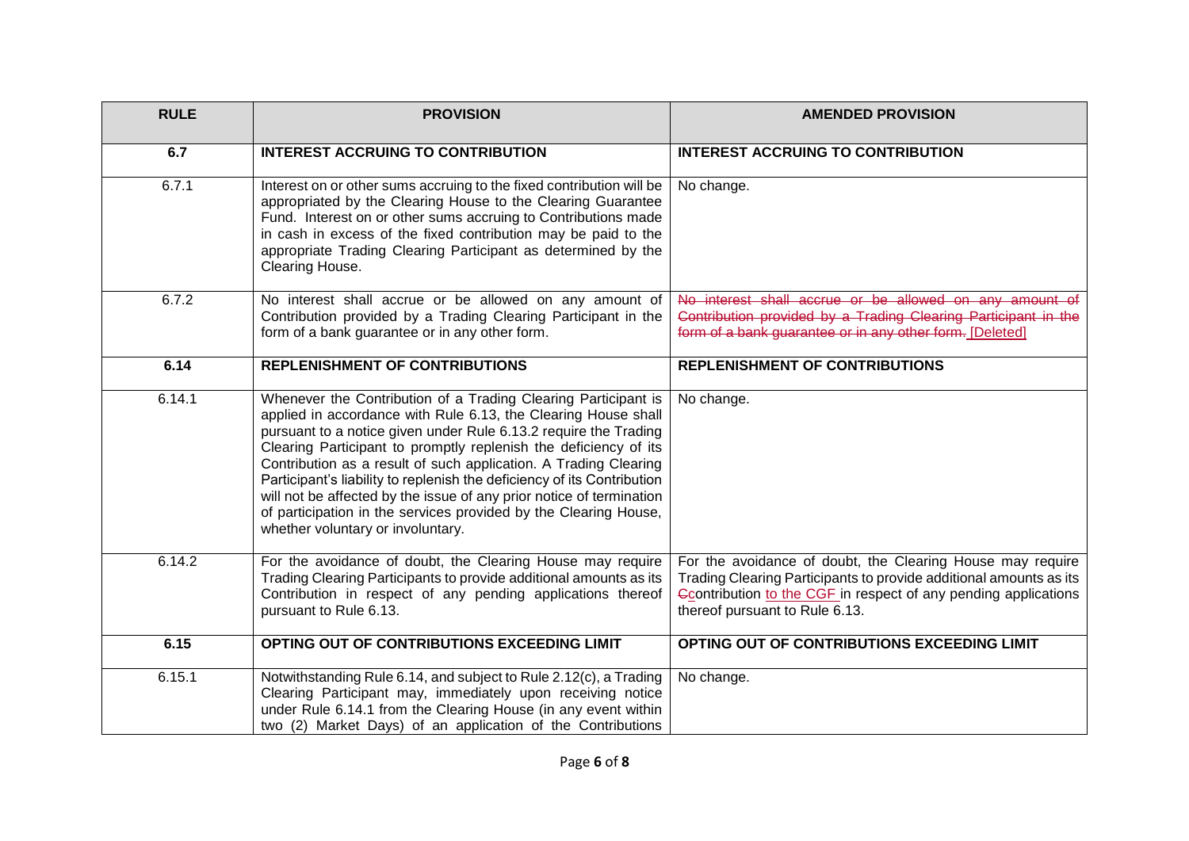| <b>RULE</b> | <b>PROVISION</b>                                                                                                                                                                                                                                                                                                                                                                                                                                                                                                                                                                                         | <b>AMENDED PROVISION</b>                                                                                                                                                                                                             |
|-------------|----------------------------------------------------------------------------------------------------------------------------------------------------------------------------------------------------------------------------------------------------------------------------------------------------------------------------------------------------------------------------------------------------------------------------------------------------------------------------------------------------------------------------------------------------------------------------------------------------------|--------------------------------------------------------------------------------------------------------------------------------------------------------------------------------------------------------------------------------------|
| 6.7         | <b>INTEREST ACCRUING TO CONTRIBUTION</b>                                                                                                                                                                                                                                                                                                                                                                                                                                                                                                                                                                 | <b>INTEREST ACCRUING TO CONTRIBUTION</b>                                                                                                                                                                                             |
| 6.7.1       | Interest on or other sums accruing to the fixed contribution will be<br>appropriated by the Clearing House to the Clearing Guarantee<br>Fund. Interest on or other sums accruing to Contributions made<br>in cash in excess of the fixed contribution may be paid to the<br>appropriate Trading Clearing Participant as determined by the<br>Clearing House.                                                                                                                                                                                                                                             | No change.                                                                                                                                                                                                                           |
| 6.7.2       | No interest shall accrue or be allowed on any amount of<br>Contribution provided by a Trading Clearing Participant in the<br>form of a bank guarantee or in any other form.                                                                                                                                                                                                                                                                                                                                                                                                                              | No interest shall accrue or be allowed on any amount of<br>Contribution provided by a Trading Clearing Participant in the<br>form of a bank guarantee or in any other form. [Deleted]                                                |
| 6.14        | <b>REPLENISHMENT OF CONTRIBUTIONS</b>                                                                                                                                                                                                                                                                                                                                                                                                                                                                                                                                                                    | <b>REPLENISHMENT OF CONTRIBUTIONS</b>                                                                                                                                                                                                |
| 6.14.1      | Whenever the Contribution of a Trading Clearing Participant is<br>applied in accordance with Rule 6.13, the Clearing House shall<br>pursuant to a notice given under Rule 6.13.2 require the Trading<br>Clearing Participant to promptly replenish the deficiency of its<br>Contribution as a result of such application. A Trading Clearing<br>Participant's liability to replenish the deficiency of its Contribution<br>will not be affected by the issue of any prior notice of termination<br>of participation in the services provided by the Clearing House,<br>whether voluntary or involuntary. | No change.                                                                                                                                                                                                                           |
| 6.14.2      | For the avoidance of doubt, the Clearing House may require<br>Trading Clearing Participants to provide additional amounts as its<br>Contribution in respect of any pending applications thereof<br>pursuant to Rule 6.13.                                                                                                                                                                                                                                                                                                                                                                                | For the avoidance of doubt, the Clearing House may require<br>Trading Clearing Participants to provide additional amounts as its<br>Contribution to the CGF in respect of any pending applications<br>thereof pursuant to Rule 6.13. |
| 6.15        | OPTING OUT OF CONTRIBUTIONS EXCEEDING LIMIT                                                                                                                                                                                                                                                                                                                                                                                                                                                                                                                                                              | OPTING OUT OF CONTRIBUTIONS EXCEEDING LIMIT                                                                                                                                                                                          |
| 6.15.1      | Notwithstanding Rule 6.14, and subject to Rule 2.12(c), a Trading<br>Clearing Participant may, immediately upon receiving notice<br>under Rule 6.14.1 from the Clearing House (in any event within<br>two (2) Market Days) of an application of the Contributions                                                                                                                                                                                                                                                                                                                                        | No change.                                                                                                                                                                                                                           |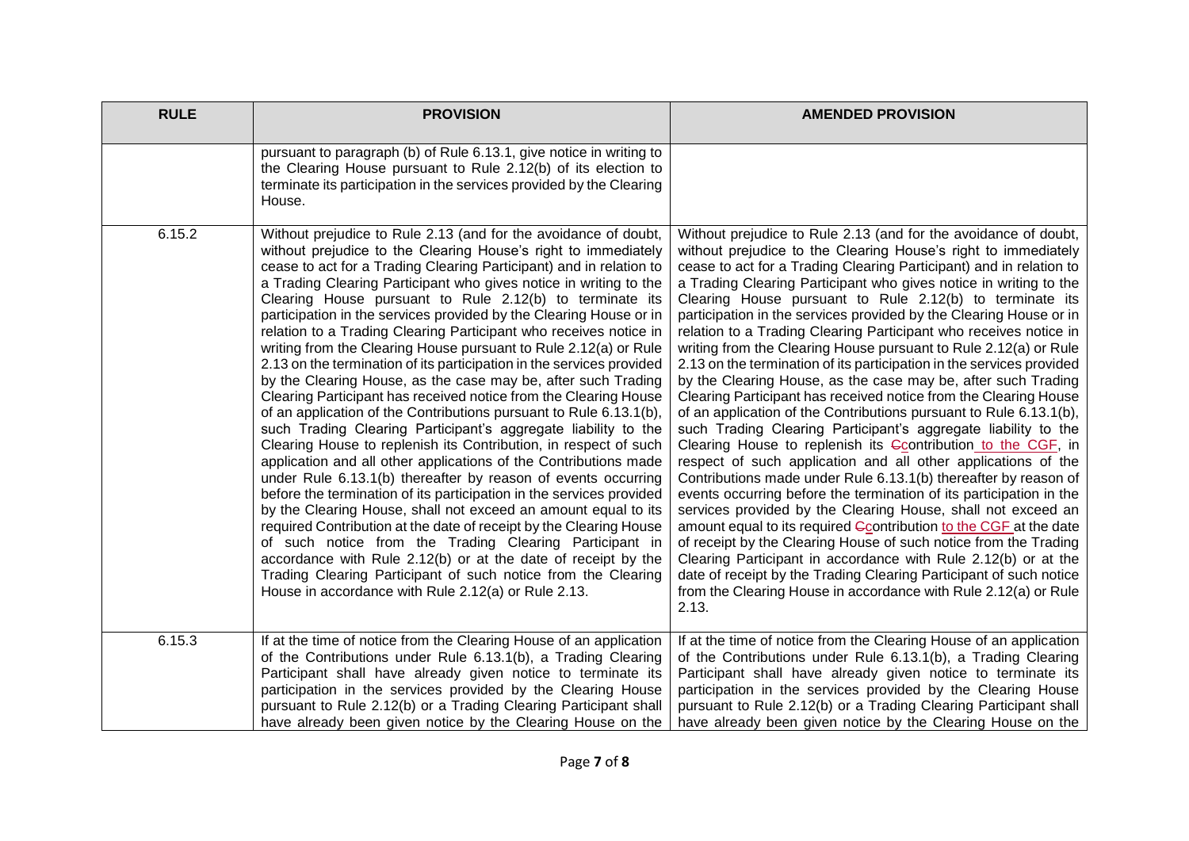| <b>RULE</b> | <b>PROVISION</b>                                                                                                                                                                                                                                                                                                                                                                                                                                                                                                                                                                                                                                                                                                                                                                                                                                                                                                                                                                                                                                                                                                                                                                                                                                                                                                                                                                                                                                                                                                                                                                            | <b>AMENDED PROVISION</b>                                                                                                                                                                                                                                                                                                                                                                                                                                                                                                                                                                                                                                                                                                                                                                                                                                                                                                                                                                                                                                                                                                                                                                                                                                                                                                                                                                                                                                                                                                                                                                                               |
|-------------|---------------------------------------------------------------------------------------------------------------------------------------------------------------------------------------------------------------------------------------------------------------------------------------------------------------------------------------------------------------------------------------------------------------------------------------------------------------------------------------------------------------------------------------------------------------------------------------------------------------------------------------------------------------------------------------------------------------------------------------------------------------------------------------------------------------------------------------------------------------------------------------------------------------------------------------------------------------------------------------------------------------------------------------------------------------------------------------------------------------------------------------------------------------------------------------------------------------------------------------------------------------------------------------------------------------------------------------------------------------------------------------------------------------------------------------------------------------------------------------------------------------------------------------------------------------------------------------------|------------------------------------------------------------------------------------------------------------------------------------------------------------------------------------------------------------------------------------------------------------------------------------------------------------------------------------------------------------------------------------------------------------------------------------------------------------------------------------------------------------------------------------------------------------------------------------------------------------------------------------------------------------------------------------------------------------------------------------------------------------------------------------------------------------------------------------------------------------------------------------------------------------------------------------------------------------------------------------------------------------------------------------------------------------------------------------------------------------------------------------------------------------------------------------------------------------------------------------------------------------------------------------------------------------------------------------------------------------------------------------------------------------------------------------------------------------------------------------------------------------------------------------------------------------------------------------------------------------------------|
|             | pursuant to paragraph (b) of Rule 6.13.1, give notice in writing to<br>the Clearing House pursuant to Rule 2.12(b) of its election to<br>terminate its participation in the services provided by the Clearing<br>House.                                                                                                                                                                                                                                                                                                                                                                                                                                                                                                                                                                                                                                                                                                                                                                                                                                                                                                                                                                                                                                                                                                                                                                                                                                                                                                                                                                     |                                                                                                                                                                                                                                                                                                                                                                                                                                                                                                                                                                                                                                                                                                                                                                                                                                                                                                                                                                                                                                                                                                                                                                                                                                                                                                                                                                                                                                                                                                                                                                                                                        |
| 6.15.2      | Without prejudice to Rule 2.13 (and for the avoidance of doubt,<br>without prejudice to the Clearing House's right to immediately<br>cease to act for a Trading Clearing Participant) and in relation to<br>a Trading Clearing Participant who gives notice in writing to the<br>Clearing House pursuant to Rule 2.12(b) to terminate its<br>participation in the services provided by the Clearing House or in<br>relation to a Trading Clearing Participant who receives notice in<br>writing from the Clearing House pursuant to Rule 2.12(a) or Rule<br>2.13 on the termination of its participation in the services provided<br>by the Clearing House, as the case may be, after such Trading<br>Clearing Participant has received notice from the Clearing House<br>of an application of the Contributions pursuant to Rule 6.13.1(b),<br>such Trading Clearing Participant's aggregate liability to the<br>Clearing House to replenish its Contribution, in respect of such<br>application and all other applications of the Contributions made<br>under Rule 6.13.1(b) thereafter by reason of events occurring<br>before the termination of its participation in the services provided<br>by the Clearing House, shall not exceed an amount equal to its<br>required Contribution at the date of receipt by the Clearing House<br>of such notice from the Trading Clearing Participant in<br>accordance with Rule 2.12(b) or at the date of receipt by the<br>Trading Clearing Participant of such notice from the Clearing<br>House in accordance with Rule 2.12(a) or Rule 2.13. | Without prejudice to Rule 2.13 (and for the avoidance of doubt,<br>without prejudice to the Clearing House's right to immediately<br>cease to act for a Trading Clearing Participant) and in relation to<br>a Trading Clearing Participant who gives notice in writing to the<br>Clearing House pursuant to Rule 2.12(b) to terminate its<br>participation in the services provided by the Clearing House or in<br>relation to a Trading Clearing Participant who receives notice in<br>writing from the Clearing House pursuant to Rule 2.12(a) or Rule<br>2.13 on the termination of its participation in the services provided<br>by the Clearing House, as the case may be, after such Trading<br>Clearing Participant has received notice from the Clearing House<br>of an application of the Contributions pursuant to Rule 6.13.1(b),<br>such Trading Clearing Participant's aggregate liability to the<br>Clearing House to replenish its Gcontribution to the CGF, in<br>respect of such application and all other applications of the<br>Contributions made under Rule 6.13.1(b) thereafter by reason of<br>events occurring before the termination of its participation in the<br>services provided by the Clearing House, shall not exceed an<br>amount equal to its required Ccontribution to the CGF at the date<br>of receipt by the Clearing House of such notice from the Trading<br>Clearing Participant in accordance with Rule 2.12(b) or at the<br>date of receipt by the Trading Clearing Participant of such notice<br>from the Clearing House in accordance with Rule 2.12(a) or Rule<br>2.13. |
| 6.15.3      | If at the time of notice from the Clearing House of an application<br>of the Contributions under Rule 6.13.1(b), a Trading Clearing<br>Participant shall have already given notice to terminate its<br>participation in the services provided by the Clearing House<br>pursuant to Rule 2.12(b) or a Trading Clearing Participant shall<br>have already been given notice by the Clearing House on the                                                                                                                                                                                                                                                                                                                                                                                                                                                                                                                                                                                                                                                                                                                                                                                                                                                                                                                                                                                                                                                                                                                                                                                      | If at the time of notice from the Clearing House of an application<br>of the Contributions under Rule 6.13.1(b), a Trading Clearing<br>Participant shall have already given notice to terminate its<br>participation in the services provided by the Clearing House<br>pursuant to Rule 2.12(b) or a Trading Clearing Participant shall<br>have already been given notice by the Clearing House on the                                                                                                                                                                                                                                                                                                                                                                                                                                                                                                                                                                                                                                                                                                                                                                                                                                                                                                                                                                                                                                                                                                                                                                                                                 |